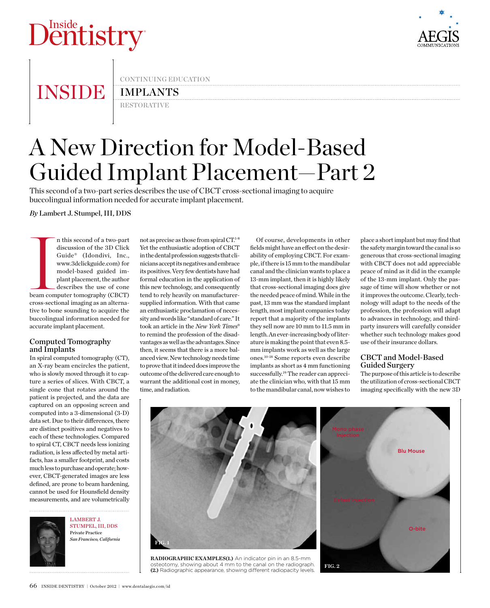# D<sup>Inside</sup><br>Dentistry



# **INSIDE**

continuing education

# **IMPLANTS**

**RESTORATIVE** 

# A New Direction for Model-Based Guided Implant Placement—Part 2

This second of a two-part series describes the use of CBCT cross-sectional imaging to acquire buccolingual information needed for accurate implant placement.

*By* Lambert J. Stumpel, III, DDS

**International Commercial Commercial Commercial Commercial Commercial Commercial Commercial Commercial Commercial Commercial Commercial Commercial Commercial Commercial Commercial Commercial Commercial Commercial Commercia** n this second of a two-part discussion of the 3D Click Guide® (Idondivi, Inc., www.3dclickguide.com) for model-based guided implant placement, the author describes the use of cone beam computer tomography (CBCT) cross-sectional imaging as an alternative to bone sounding to acquire the buccolingual information needed for accurate implant placement.

### Computed Tomography and Implants

In spiral computed tomography (CT), an X-ray beam encircles the patient, who is slowly moved through it to capture a series of slices. With CBCT, a single cone that rotates around the patient is projected, and the data are captured on an opposing screen and computed into a 3-dimensional (3-D) data set. Due to their differences, there are distinct positives and negatives to each of these technologies. Compared to spiral CT, CBCT needs less ionizing radiation, is less affected by metal artifacts, has a smaller footprint, and costs much less to purchase and operate; however, CBCT-generated images are less defined, are prone to beam hardening, cannot be used for Hounsfield density measurements, and are volumetrically



Stumpel, III, DDS Private Practice *San Francisco, California*

LAMBERT J.

not as precise as those from spiral CT. 1-8 Yet the enthusiastic adoption of CBCT in the dental profession suggests that clinicians accept its negatives and embrace its positives. Very few dentists have had formal education in the application of this new technology, and consequently tend to rely heavily on manufacturersupplied information. With that came an enthusiastic proclamation of necessity and words like "standard of care." It took an article in the *New York Times*<sup>9</sup> to remind the profession of the disadvantages as well as the advantages. Since then, it seems that there is a more balanced view. New technology needs time to prove that it indeed does improve the outcome of the delivered care enough to warrant the additional cost in money, time, and radiation.

Of course, developments in other fields might have an effect on the desirability of employing CBCT. For example, if there is 15 mm to the mandibular canal and the clinician wants to place a 13-mm implant, then it is highly likely that cross-sectional imaging does give the needed peace of mind. While in the past, 13 mm was the standard implant length, most implant companies today report that a majority of the implants they sell now are 10 mm to 11.5 mm in length. An ever-increasing body of literature is making the point that even 8.5 mm implants work as well as the large ones.10-18 Some reports even describe implants as short as 4 mm functioning successfully.19 The reader can appreciate the clinician who, with that 15 mm to the mandibular canal, now wishes to

place a short implant but may find that the safety margin toward the canal is so generous that cross-sectional imaging with CBCT does not add appreciable peace of mind as it did in the example of the 13-mm implant. Only the passage of time will show whether or not it improves the outcome. Clearly, technology will adapt to the needs of the profession, the profession will adapt to advances in technology, and thirdparty insurers will carefully consider whether such technology makes good use of their insurance dollars.

## CBCT and Model-Based Guided Surgery

The purpose of this article is to describe the utilization of cross-sectional CBCT imaging specifically with the new 3D



**fig. 2**

**RADIOGRAPHIC EXAMPLES(1.)** An indicator pin in an 8.5-mm osteotomy, showing about 4 mm to the canal on the radiograph. **(2.)** Radiographic appearance, showing different radiopacity levels.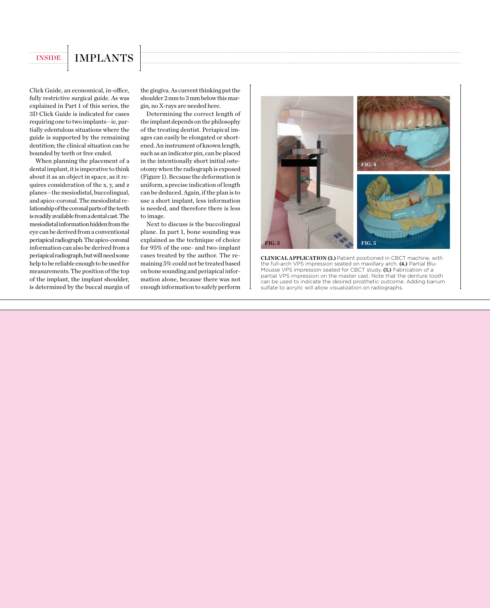# INSIDE | IMPLANTS

Click Guide, an economical, in-office, fully restrictive surgical guide. As was explained in Part 1 of this series, the 3D Click Guide is indicated for cases requiring one to two implants—ie, partially edentulous situations where the guide is supported by the remaining dentition; the clinical situation can be bounded by teeth or free ended.

When planning the placement of a dental implant, it is imperative to think about it as an object in space, as it requires consideration of the x, y, and z planes—the mesiodistal, buccolingual, and apico-coronal. The mesiodistal relationship of the coronal parts of the teeth is readily available from a dental cast. The mesiodistal information hidden from the eye can be derived from a conventional periapical radiograph. The apico-coronal information can also be derived from a periapical radiograph, but will need some help to be reliable enough to be used for measurements. The position of the top of the implant, the implant shoulder, is determined by the buccal margin of the gingiva. As current thinking put the shoulder 2 mm to 3 mm below this margin, no X-rays are needed here.

Determining the correct length of the implant depends on the philosophy of the treating dentist. Periapical images can easily be elongated or shortened. An instrument of known length, such as an indicator pin, can be placed in the intentionally short initial osteotomy when the radiograph is exposed (Figure 1). Because the deformation is uniform, a precise indication of length can be deduced. Again, if the plan is to use a short implant, less information is needed, and therefore there is less to image.

Next to discuss is the buccolingual plane. In part 1, bone sounding was explained as the technique of choice for 95% of the one- and two-implant cases treated by the author. The remaining 5% could not be treated based on bone sounding and periapical information alone, because there was not enough information to safely perform



**CLINICAL APPLICATION (3.)** Patient positioned in CBCT machine, with the full-arch VPS impression seated on maxillary arch. **(4.)** Partial Blu-Mousse VPS impression seated for CBCT study. **(5.)** Fabrication of a partial VPS impression on the master cast. Note that the denture tooth can be used to indicate the desired prosthetic outcome. Adding barium sulfate to acrylic will allow visualization on radiographs.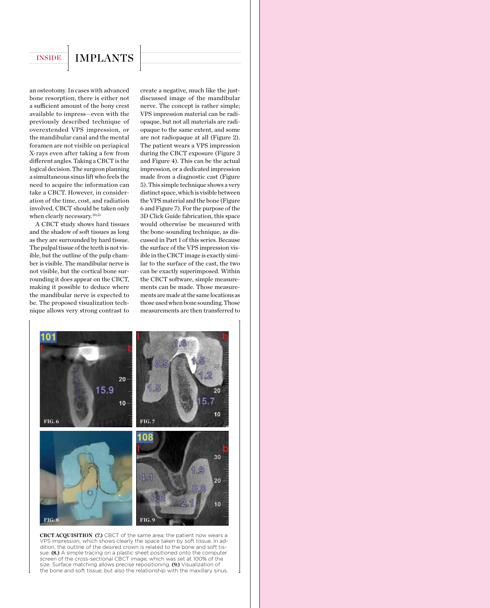# INSIDE | IMPLANTS

an osteotomy. In cases with advanced bone resorption, there is either not a sufficient amount of the bony crest available to impress—even with the previously described technique of overextended VPS impression, or the mandibular canal and the mental foramen are not visible on periapical X-rays even after taking a few from different angles. Taking a CBCT is the logical decision. The surgeon planning a simultaneous sinus lift who feels the need to acquire the information can take a CBCT. However, in consideration of the time, cost, and radiation involved, CBCT should be taken only when clearly necessary.<sup>20,21</sup>

A CBCT study shows hard tissues and the shadow of soft tissues as long as they are surrounded by hard tissue. The pulpal tissue of the teeth is not visible, but the outline of the pulp chamber is visible. The mandibular nerve is not visible, but the cortical bone surrounding it does appear on the CBCT, making it possible to deduce where the mandibular nerve is expected to be. The proposed visualization technique allows very strong contrast to create a negative, much like the justdiscussed image of the mandibular nerve. The concept is rather simple; VPS impression material can be radiopaque, but not all materials are radiopaque to the same extent, and some are not radiopaque at all (Figure 2). The patient wears a VPS impression during the CBCT exposure (Figure 3 and Figure 4). This can be the actual impression, or a dedicated impression made from a diagnostic cast (Figure 5). This simple technique shows a very distinct space, which is visible between the VPS material and the bone (Figure 6 and Figure 7). For the purpose of the 3D Click Guide fabrication, this space would otherwise be measured with the bone-sounding technique, as discussed in Part 1 of this series. Because the surface of the VPS impression visible in the CBCT image is exactly similar to the surface of the cast, the two can be exactly superimposed. Within the CBCT software, simple measurements can be made. Those measurements are made at the same locations as those used when bone sounding. Those measurements are then transferred to



**CBCT ACQUISITION (7.)** CBCT of the same area; the patient now wears a VPS impression, which shows clearly the space taken by soft tissue. In addition, the outline of the desired crown is related to the bone and soft tissue. **(8.)** A simple tracing on a plastic sheet positioned onto the computer screen of the cross-sectional CBCT image, which was set at 100% of the size. Surface matching allows precise repositioning. **(9.)** Visualization of the bone and soft tissue, but also the relationship with the maxillary sinus.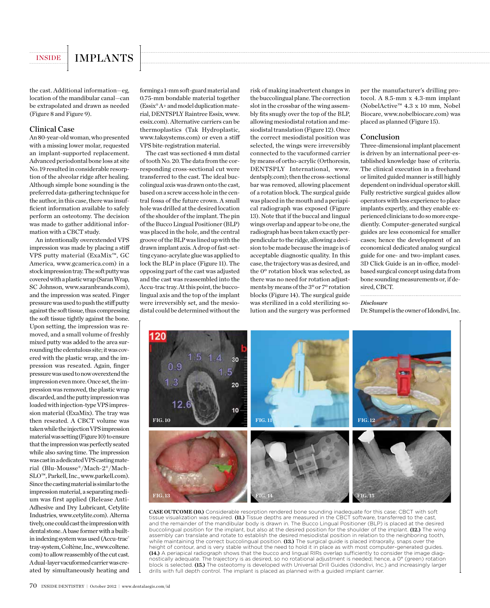

the cast. Additional information—eg, location of the mandibular canal—can be extrapolated and drawn as needed (Figure 8 and Figure 9).

### Clinical Case

An 80-year-old woman, who presented with a missing lower molar, requested an implant-supported replacement. Advanced periodontal bone loss at site No. 19 resulted in considerable resorption of the alveolar ridge after healing. Although simple bone sounding is the preferred data-gathering technique for the author, in this case, there was insufficient information available to safely perform an osteotomy. The decision was made to gather additional information with a CBCT study.

An intentionally overextended VPS impression was made by placing a stiff VPS putty material (ExaMix™, GC America, www.gcamerica.com) in a stock impression tray. The soft putty was covered with a plastic wrap (Saran Wrap, SC Johnson, www.saranbrands.com), and the impression was seated. Finger pressure was used to push the stiff putty against the soft tissue, thus compressing the soft tissue tightly against the bone. Upon setting, the impression was removed, and a small volume of freshly mixed putty was added to the area surrounding the edentulous site; it was covered with the plastic wrap, and the impression was reseated. Again, finger pressure was used to now overextend the impression even more. Once set, the impression was removed, the plastic wrap discarded, and the putty impression was loaded with injection-type VPS impression material (ExaMix). The tray was then reseated. A CBCT volume was taken while the injection VPS impression material was setting (Figure 10) to ensure that the impression was perfectly seated while also saving time. The impression was cast in a dedicated VPS casting material (Blu-Mousse®/Mach-2®/Mach-SLO™, Parkell, Inc., www.parkell.com). Since the casting material is similar to the impression material, a separating medium was first applied (Release Anti-Adhesive and Dry Lubricant, Cetylite Industries, www.cetylite.com). Alterna tively, one could cast the impression with dental stone. A base former with a builtin indexing system was used (Accu-trac® tray-system, Coltène, Inc., www.coltene. com) to allow reassembly of the cut cast. A dual-layer vacuformed carrier was created by simultaneously heating and

forming a 1-mm soft-guard material and 0.75-mm bondable material together (Essix® A+ and model duplication material, DENTSPLY Raintree Essix, www. essix.com). Alternative carriers can be thermoplastics (Tak Hydroplastic, www.taksystems.com) or even a stiff VPS bite-registration material.

The cast was sectioned 4 mm distal of tooth No. 20. The data from the corresponding cross-sectional cut were transferred to the cast. The ideal buccolingual axis was drawn onto the cast, based on a screw access hole in the central fossa of the future crown. A small hole was drilled at the desired location of the shoulder of the implant. The pin of the Bucco Lingual Positioner (BLP) was placed in the hole, and the central groove of the BLP was lined up with the drawn implant axis. A drop of fast-setting cyano-acrylate glue was applied to lock the BLP in place (Figure 11). The opposing part of the cast was adjusted and the cast was reassembled into the Accu-trac tray. At this point, the buccolingual axis and the top of the implant were irreversibly set, and the mesiodistal could be determined without the risk of making inadvertent changes in the buccolingual plane. The correction slot in the crossbar of the wing assembly fits snugly over the top of the BLP, allowing mesiodistal rotation and mesiodistal translation (Figure 12). Once the correct mesiodistal position was selected, the wings were irreversibly connected to the vacuformed carrier by means of ortho-acrylic (Orthoresin, DENTSPLY International, www. dentsply.com); then the cross-sectional bar was removed, allowing placement of a rotation block. The surgical guide was placed in the mouth and a periapical radiograph was exposed (Figure 13). Note that if the buccal and lingual wings overlap and appear to be one, the radiograph has been taken exactly perpendicular to the ridge, allowing a decision to be made because the image is of acceptable diagnostic quality. In this case, the trajectory was as desired, and the 0º rotation block was selected, as there was no need for rotation adjustments by means of the 3º or 7º rotation blocks (Figure 14). The surgical guide was sterilized in a cold sterilizing solution and the surgery was performed

per the manufacturer's drilling protocol. A 8.5-mm x 4.3-mm implant (NobelActive™ 4.3 x 10 mm, Nobel Biocare, www.nobelbiocare.com) was placed as planned (Figure 15).

### Conclusion

Three-dimensional implant placement is driven by an international peer-established knowledge base of criteria. The clinical execution in a freehand or limited guided manner is still highly dependent on individual operator skill. Fully restrictive surgical guides allow operators with less experience to place implants expertly, and they enable experienced clinicians to do so more expediently. Computer-generated surgical guides are less economical for smaller cases; hence the development of an economical dedicated analog surgical guide for one- and two-implant cases. 3D Click Guide is an in-office, modelbased surgical concept using data from bone sounding measurements or, if desired, CBCT.

*Disclosure*

Dr. Stumpel is the owner of Idondivi, Inc.



**CASE OUTCOME (10.)** Considerable resorption rendered bone sounding inadequate for this case; CBCT with soft tissue visualization was required. **(11.)** Tissue depths are measured in the CBCT software, transferred to the cast, and the remainder of the mandibular body is drawn in. The Bucco Lingual Positioner (BLP) is placed at the desired buccolingual position for the implant, but also at the desired position for the shoulder of the implant. **(12.)** The wing assembly can translate and rotate to establish the desired mesiodistal position in relation to the neighboring tooth, while maintaining the correct buccolingual position. **(13.)** The surgical guide is placed intraorally, snaps over the height of contour, and is very stable without the need to hold it in place as with most computer-generated guides. **(14.)** A periapical radiograph shows that the bucco and lingual RIRs overlap sufficiently to consider the image diagnostically adequate. The trajectory is as desired, so no rotational adjustment is needed; hence, a 0° (green) rotation block is selected. **(15.)** The osteotomy is developed with Universal Drill Guides (Idondivi, Inc.) and increasingly larger drills with full depth control. The implant is placed as planned with a guided implant carrier.